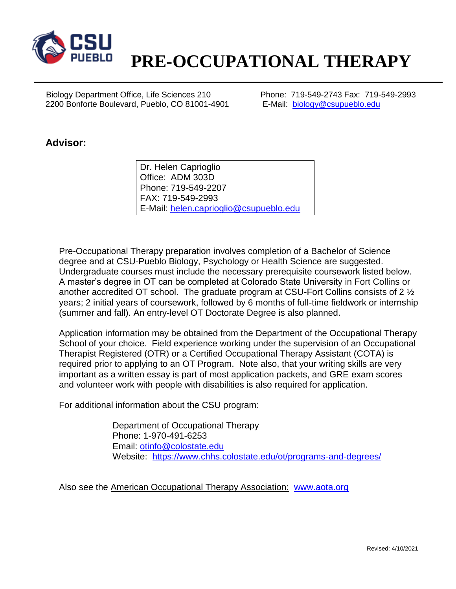

## **PRE-OCCUPATIONAL THERAPY**

 Biology Department Office, Life Sciences 210 Phone: 719-549-2743 Fax: 719-549-2993 2200 Bonforte Boulevard, Pueblo, CO 81001-4901 E-Mail: [biology@csupueblo.edu](mailto:biology@csupueblo.edu)

## **Advisor:**

Dr. Helen Caprioglio Office: ADM 303D Phone: 719-549-2207 FAX: 719-549-2993 E-Mail: [helen.caprioglio@csupueblo.edu](mailto:helen.caprioglio@csupueblo.edu)

Pre-Occupational Therapy preparation involves completion of a Bachelor of Science degree and at CSU-Pueblo Biology, Psychology or Health Science are suggested. Undergraduate courses must include the necessary prerequisite coursework listed below. A master's degree in OT can be completed at Colorado State University in Fort Collins or another accredited OT school. The graduate program at CSU-Fort Collins consists of 2 ½ years; 2 initial years of coursework, followed by 6 months of full-time fieldwork or internship (summer and fall). An entry-level OT Doctorate Degree is also planned.

Application information may be obtained from the Department of the Occupational Therapy School of your choice. Field experience working under the supervision of an Occupational Therapist Registered (OTR) or a Certified Occupational Therapy Assistant (COTA) is required prior to applying to an OT Program. Note also, that your writing skills are very important as a written essay is part of most application packets, and GRE exam scores and volunteer work with people with disabilities is also required for application.

For additional information about the CSU program:

Department of Occupational Therapy Phone: 1-970-491-6253 Email: [otinfo@colostate.edu](mailto:otinfo@colostate.edu) Website: <https://www.chhs.colostate.edu/ot/programs-and-degrees/>

Also see the American Occupational Therapy Association: [www.aota.org](http://www.aota.org/)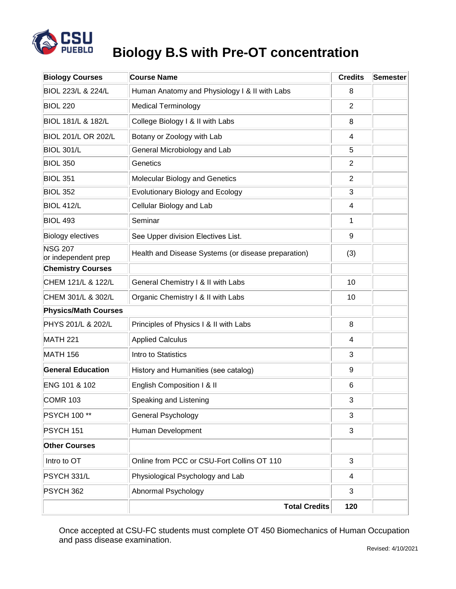

## **Biology B.S with Pre-OT concentration**

| <b>Biology Courses</b>                | <b>Course Name</b>                                  | <b>Credits</b> | Semester |
|---------------------------------------|-----------------------------------------------------|----------------|----------|
| BIOL 223/L & 224/L                    | Human Anatomy and Physiology I & II with Labs       | 8              |          |
| <b>BIOL 220</b>                       | <b>Medical Terminology</b>                          | $\overline{2}$ |          |
| <b>BIOL 181/L &amp; 182/L</b>         | College Biology I & II with Labs                    | 8              |          |
| <b>BIOL 201/L OR 202/L</b>            | Botany or Zoology with Lab                          | 4              |          |
| <b>BIOL 301/L</b>                     | General Microbiology and Lab                        | 5              |          |
| <b>BIOL 350</b>                       | Genetics                                            | $\overline{2}$ |          |
| <b>BIOL 351</b>                       | Molecular Biology and Genetics                      | $\overline{2}$ |          |
| <b>BIOL 352</b>                       | Evolutionary Biology and Ecology                    | 3              |          |
| <b>BIOL 412/L</b>                     | Cellular Biology and Lab                            | 4              |          |
| <b>BIOL 493</b>                       | Seminar                                             | 1              |          |
| Biology electives                     | See Upper division Electives List.                  | 9              |          |
| <b>NSG 207</b><br>or independent prep | Health and Disease Systems (or disease preparation) | (3)            |          |
| <b>Chemistry Courses</b>              |                                                     |                |          |
| CHEM 121/L & 122/L                    | General Chemistry I & II with Labs                  | 10             |          |
| CHEM 301/L & 302/L                    | Organic Chemistry I & II with Labs                  | 10             |          |
| <b>Physics/Math Courses</b>           |                                                     |                |          |
| PHYS 201/L & 202/L                    | Principles of Physics I & II with Labs              | 8              |          |
| <b>MATH 221</b>                       | <b>Applied Calculus</b>                             | 4              |          |
| <b>MATH 156</b>                       | Intro to Statistics                                 | 3              |          |
| <b>General Education</b>              | History and Humanities (see catalog)                | 9              |          |
| ENG 101 & 102                         | English Composition I & II                          | 6              |          |
| <b>COMR 103</b>                       | Speaking and Listening                              | 3              |          |
| <b>PSYCH 100**</b>                    | General Psychology                                  | 3              |          |
| PSYCH 151                             | Human Development                                   | 3              |          |
| <b>Other Courses</b>                  |                                                     |                |          |
| Intro to OT                           | Online from PCC or CSU-Fort Collins OT 110          | 3              |          |
| PSYCH 331/L                           | Physiological Psychology and Lab                    | 4              |          |
| PSYCH 362                             | Abnormal Psychology                                 | 3              |          |
|                                       | <b>Total Credits</b>                                | 120            |          |

Once accepted at CSU-FC students must complete OT 450 Biomechanics of Human Occupation and pass disease examination.